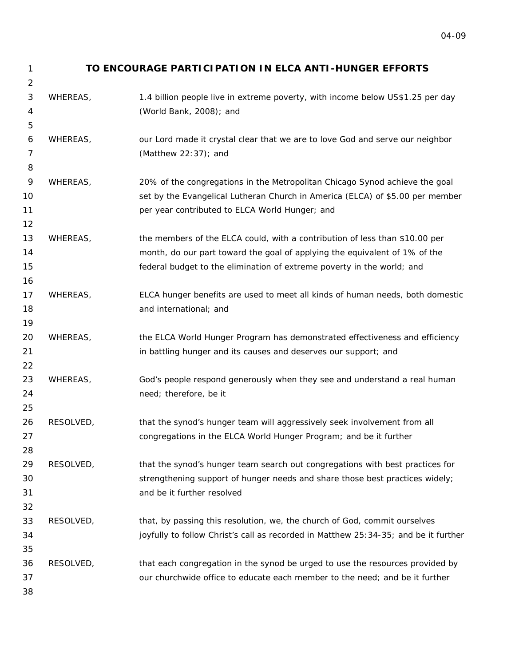2

## 1 **TO ENCOURAGE PARTICIPATION IN ELCA ANTI-HUNGER EFFORTS**

| 3  | WHEREAS,  | 1.4 billion people live in extreme poverty, with income below US\$1.25 per day      |
|----|-----------|-------------------------------------------------------------------------------------|
| 4  |           | (World Bank, 2008); and                                                             |
| 5  |           |                                                                                     |
| 6  | WHEREAS,  | our Lord made it crystal clear that we are to love God and serve our neighbor       |
| 7  |           | (Matthew 22:37); and                                                                |
| 8  |           |                                                                                     |
| 9  | WHEREAS,  | 20% of the congregations in the Metropolitan Chicago Synod achieve the goal         |
| 10 |           | set by the Evangelical Lutheran Church in America (ELCA) of \$5.00 per member       |
| 11 |           | per year contributed to ELCA World Hunger; and                                      |
| 12 |           |                                                                                     |
| 13 | WHEREAS,  | the members of the ELCA could, with a contribution of less than \$10.00 per         |
| 14 |           | month, do our part toward the goal of applying the equivalent of 1% of the          |
| 15 |           | federal budget to the elimination of extreme poverty in the world; and              |
| 16 |           |                                                                                     |
| 17 | WHEREAS,  | ELCA hunger benefits are used to meet all kinds of human needs, both domestic       |
| 18 |           | and international; and                                                              |
| 19 |           |                                                                                     |
| 20 | WHEREAS,  | the ELCA World Hunger Program has demonstrated effectiveness and efficiency         |
| 21 |           | in battling hunger and its causes and deserves our support; and                     |
| 22 |           |                                                                                     |
| 23 | WHEREAS,  | God's people respond generously when they see and understand a real human           |
| 24 |           | need; therefore, be it                                                              |
| 25 |           |                                                                                     |
| 26 | RESOLVED, | that the synod's hunger team will aggressively seek involvement from all            |
| 27 |           | congregations in the ELCA World Hunger Program; and be it further                   |
| 28 |           |                                                                                     |
| 29 | RESOLVED, | that the synod's hunger team search out congregations with best practices for       |
| 30 |           | strengthening support of hunger needs and share those best practices widely;        |
| 31 |           | and be it further resolved                                                          |
| 32 |           |                                                                                     |
| 33 | RESOLVED, | that, by passing this resolution, we, the church of God, commit ourselves           |
| 34 |           | joyfully to follow Christ's call as recorded in Matthew 25:34-35; and be it further |
| 35 |           |                                                                                     |
| 36 | RESOLVED, | that each congregation in the synod be urged to use the resources provided by       |
| 37 |           | our churchwide office to educate each member to the need; and be it further         |
| 38 |           |                                                                                     |